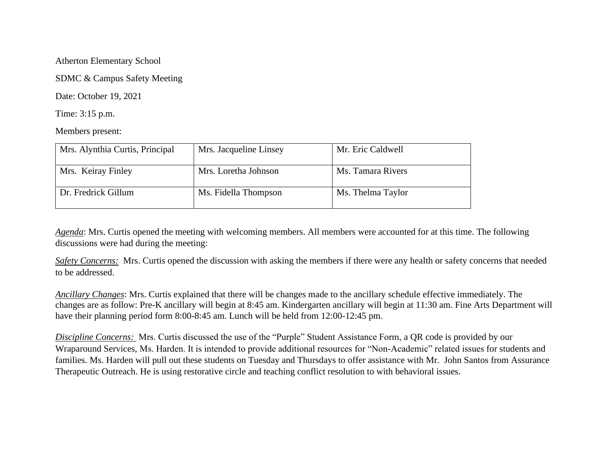Atherton Elementary School

SDMC & Campus Safety Meeting

Date: October 19, 2021

Time: 3:15 p.m.

Members present:

| Mrs. Alynthia Curtis, Principal | Mrs. Jacqueline Linsey | Mr. Eric Caldwell |
|---------------------------------|------------------------|-------------------|
| Mrs. Keiray Finley              | Mrs. Loretha Johnson   | Ms. Tamara Rivers |
| Dr. Fredrick Gillum             | Ms. Fidella Thompson   | Ms. Thelma Taylor |

*Agenda*: Mrs. Curtis opened the meeting with welcoming members. All members were accounted for at this time. The following discussions were had during the meeting:

*Safety Concerns:* Mrs. Curtis opened the discussion with asking the members if there were any health or safety concerns that needed to be addressed.

*Ancillary Changes*: Mrs. Curtis explained that there will be changes made to the ancillary schedule effective immediately. The changes are as follow: Pre-K ancillary will begin at 8:45 am. Kindergarten ancillary will begin at 11:30 am. Fine Arts Department will have their planning period form 8:00-8:45 am. Lunch will be held from 12:00-12:45 pm.

*Discipline Concerns:* Mrs. Curtis discussed the use of the "Purple" Student Assistance Form, a QR code is provided by our Wraparound Services, Ms. Harden. It is intended to provide additional resources for "Non-Academic" related issues for students and families. Ms. Harden will pull out these students on Tuesday and Thursdays to offer assistance with Mr. John Santos from Assurance Therapeutic Outreach. He is using restorative circle and teaching conflict resolution to with behavioral issues.